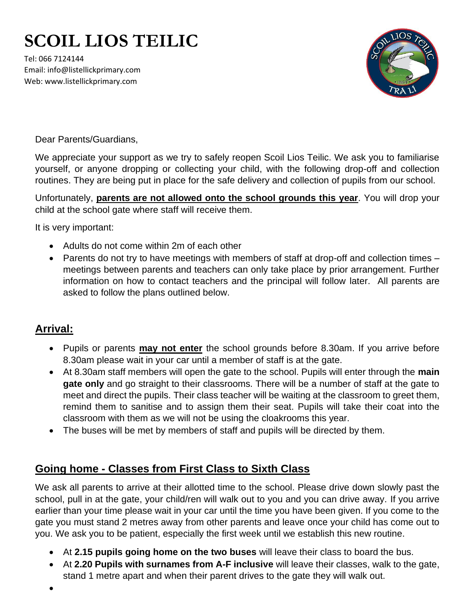## **SCOIL LIOS TEILIC**

Tel: 066 7124144 Email: info@listellickprimary.com Web: www.listellickprimary.com



Dear Parents/Guardians,

We appreciate your support as we try to safely reopen Scoil Lios Teilic. We ask you to familiarise yourself, or anyone dropping or collecting your child, with the following drop-off and collection routines. They are being put in place for the safe delivery and collection of pupils from our school.

Unfortunately, **parents are not allowed onto the school grounds this year**. You will drop your child at the school gate where staff will receive them.

It is very important:

- Adults do not come within 2m of each other
- Parents do not try to have meetings with members of staff at drop-off and collection times meetings between parents and teachers can only take place by prior arrangement. Further information on how to contact teachers and the principal will follow later. All parents are asked to follow the plans outlined below.

## **Arrival:**

- Pupils or parents **may not enter** the school grounds before 8.30am. If you arrive before 8.30am please wait in your car until a member of staff is at the gate.
- At 8.30am staff members will open the gate to the school. Pupils will enter through the **main gate only** and go straight to their classrooms. There will be a number of staff at the gate to meet and direct the pupils. Their class teacher will be waiting at the classroom to greet them, remind them to sanitise and to assign them their seat. Pupils will take their coat into the classroom with them as we will not be using the cloakrooms this year.
- The buses will be met by members of staff and pupils will be directed by them.

## **Going home - Classes from First Class to Sixth Class**

We ask all parents to arrive at their allotted time to the school. Please drive down slowly past the school, pull in at the gate, your child/ren will walk out to you and you can drive away. If you arrive earlier than your time please wait in your car until the time you have been given. If you come to the gate you must stand 2 metres away from other parents and leave once your child has come out to you. We ask you to be patient, especially the first week until we establish this new routine.

- At **2.15 pupils going home on the two buses** will leave their class to board the bus.
- At **2.20 Pupils with surnames from A-F inclusive** will leave their classes, walk to the gate, stand 1 metre apart and when their parent drives to the gate they will walk out.

•